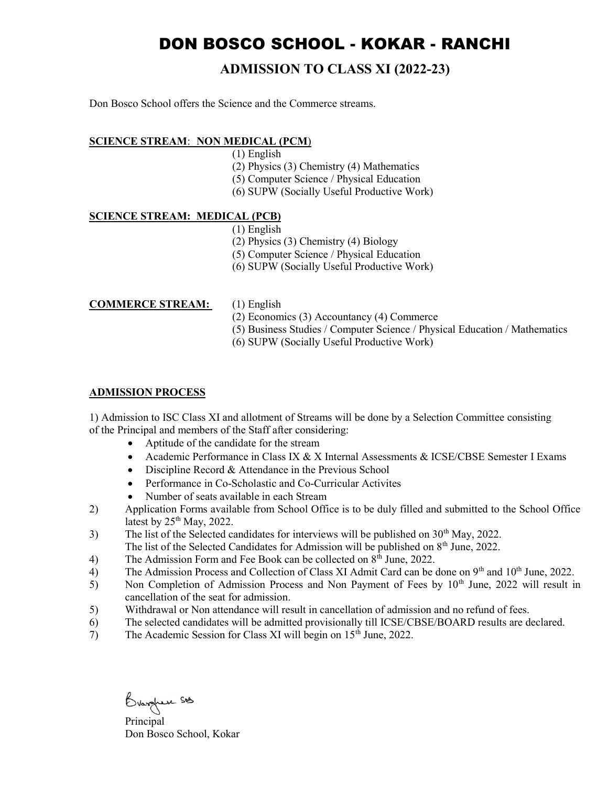# DON BOSCO SCHOOL - KOKAR - RANCHI

## ADMISSION TO CLASS XI (2022-23)

Don Bosco School offers the Science and the Commerce streams.

### SCIENCE STREAM: NON MEDICAL (PCM)

- (1) English
- (2) Physics (3) Chemistry (4) Mathematics
- (5) Computer Science / Physical Education
- (6) SUPW (Socially Useful Productive Work)

#### SCIENCE STREAM: MEDICAL (PCB)

- (1) English
- (2) Physics (3) Chemistry (4) Biology
- (5) Computer Science / Physical Education
- (6) SUPW (Socially Useful Productive Work)

#### COMMERCE STREAM: (1) English

- 
- (2) Economics (3) Accountancy (4) Commerce
- (5) Business Studies / Computer Science / Physical Education / Mathematics
- (6) SUPW (Socially Useful Productive Work)

### ADMISSION PROCESS

1) Admission to ISC Class XI and allotment of Streams will be done by a Selection Committee consisting of the Principal and members of the Staff after considering:

- Aptitude of the candidate for the stream
- Academic Performance in Class IX & X Internal Assessments & ICSE/CBSE Semester I Exams
- Discipline Record & Attendance in the Previous School
- Performance in Co-Scholastic and Co-Curricular Activites
- Number of seats available in each Stream
- 2) Application Forms available from School Office is to be duly filled and submitted to the School Office latest by  $25<sup>th</sup>$  May, 2022.
- 3) The list of the Selected candidates for interviews will be published on 30<sup>th</sup> May, 2022.
- The list of the Selected Candidates for Admission will be published on  $8<sup>th</sup>$  June, 2022.
- 4) The Admission Form and Fee Book can be collected on  $8<sup>th</sup>$  June, 2022.
- $\overline{4}$ ) The Admission Process and Collection of Class XI Admit Card can be done on 9<sup>th</sup> and 10<sup>th</sup> June, 2022.
- 5) Non Completion of Admission Process and Non Payment of Fees by 10<sup>th</sup> June, 2022 will result in cancellation of the seat for admission.
- 5) Withdrawal or Non attendance will result in cancellation of admission and no refund of fees.
- 6) The selected candidates will be admitted provisionally till ICSE/CBSE/BOARD results are declared.
- 7) The Academic Session for Class XI will begin on 15th June, 2022.

Principal

Don Bosco School, Kokar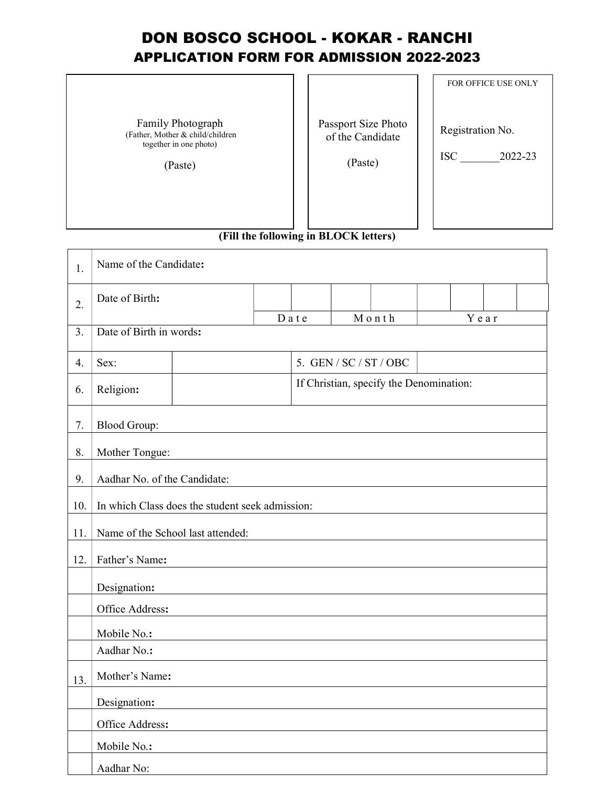## DON BOSCO SCHOOL - KOKAR - RANCHI APPLICATION FORM FOR ADMISSION 2022-2023

r  $\overline{\phantom{a}}$ 

Family Photograph (Father, Mother & child/children together in one photo)

(Paste)

Passport Size Photo of the Candidate

(Paste)

FOR OFFICE USE ONLY

Registration No.

ISC \_\_\_\_\_\_\_2022-23

(Fill the following in BLOCK letters)

| 1.  | Name of the Candidate:                          |  |                                         |  |       |  |      |  |
|-----|-------------------------------------------------|--|-----------------------------------------|--|-------|--|------|--|
| 2.  | Date of Birth:                                  |  |                                         |  |       |  |      |  |
| 3.  | Date of Birth in words:                         |  | Date                                    |  | Month |  | Year |  |
| 4.  | 5. GEN / SC / ST / OBC<br>Sex:                  |  |                                         |  |       |  |      |  |
| 6.  | Religion:                                       |  | If Christian, specify the Denomination: |  |       |  |      |  |
| 7.  | <b>Blood Group:</b>                             |  |                                         |  |       |  |      |  |
| 8.  | Mother Tongue:                                  |  |                                         |  |       |  |      |  |
| 9.  | Aadhar No. of the Candidate:                    |  |                                         |  |       |  |      |  |
| 10. | In which Class does the student seek admission: |  |                                         |  |       |  |      |  |
| 11. | Name of the School last attended:               |  |                                         |  |       |  |      |  |
| 12. | Father's Name:                                  |  |                                         |  |       |  |      |  |
|     | Designation:                                    |  |                                         |  |       |  |      |  |
|     | Office Address:                                 |  |                                         |  |       |  |      |  |
|     | Mobile No.:                                     |  |                                         |  |       |  |      |  |
|     | Aadhar No.:                                     |  |                                         |  |       |  |      |  |
| 13. | Mother's Name:                                  |  |                                         |  |       |  |      |  |
|     | Designation:                                    |  |                                         |  |       |  |      |  |
|     | Office Address:                                 |  |                                         |  |       |  |      |  |
|     | Mobile No.:                                     |  |                                         |  |       |  |      |  |
|     | Aadhar No:                                      |  |                                         |  |       |  |      |  |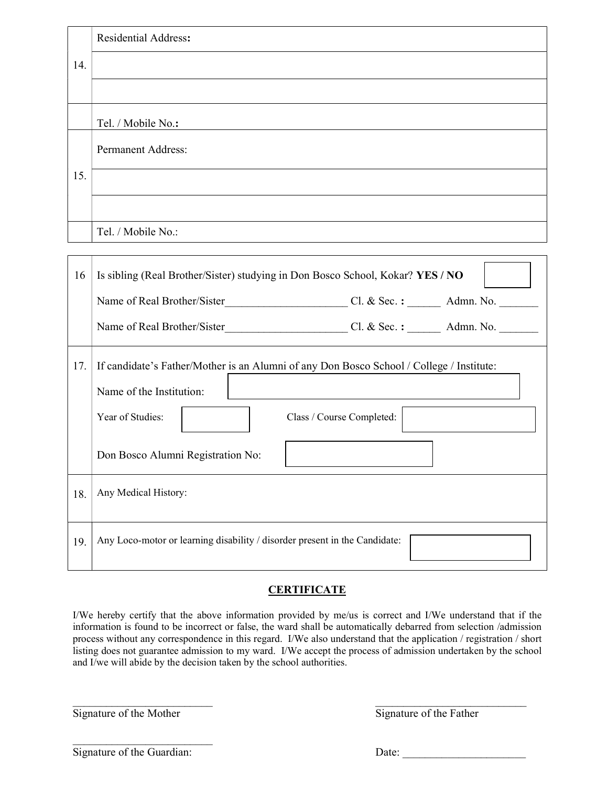|     | <b>Residential Address:</b>                                                              |
|-----|------------------------------------------------------------------------------------------|
| 14. |                                                                                          |
|     |                                                                                          |
|     |                                                                                          |
|     | Tel. / Mobile No.:                                                                       |
|     | <b>Permanent Address:</b>                                                                |
|     |                                                                                          |
| 15. |                                                                                          |
|     |                                                                                          |
|     | Tel. / Mobile No.:                                                                       |
|     |                                                                                          |
|     |                                                                                          |
| 16  | Is sibling (Real Brother/Sister) studying in Don Bosco School, Kokar? YES / NO           |
|     |                                                                                          |
|     |                                                                                          |
|     |                                                                                          |
| 17. | If candidate's Father/Mother is an Alumni of any Don Bosco School / College / Institute: |
|     | Name of the Institution:                                                                 |
|     |                                                                                          |
|     | Year of Studies:<br>Class / Course Completed:                                            |
|     |                                                                                          |
|     | Don Bosco Alumni Registration No:                                                        |
| 18. | Any Medical History:                                                                     |
|     |                                                                                          |
|     |                                                                                          |
| 19. | Any Loco-motor or learning disability / disorder present in the Candidate:               |

## **CERTIFICATE**

I/We hereby certify that the above information provided by me/us is correct and I/We understand that if the information is found to be incorrect or false, the ward shall be automatically debarred from selection /admission process without any correspondence in this regard. I/We also understand that the application / registration / short listing does not guarantee admission to my ward. I/We accept the process of admission undertaken by the school and I/we will abide by the decision taken by the school authorities.

 $\_$  , and the contribution of the contribution of  $\overline{\mathcal{L}}$  , and  $\overline{\mathcal{L}}$  , and  $\overline{\mathcal{L}}$  , and  $\overline{\mathcal{L}}$ 

Signature of the Mother Signature of the Father

Signature of the Guardian: Date:

 $\overline{\phantom{a}}$  , where  $\overline{\phantom{a}}$  , where  $\overline{\phantom{a}}$  , where  $\overline{\phantom{a}}$